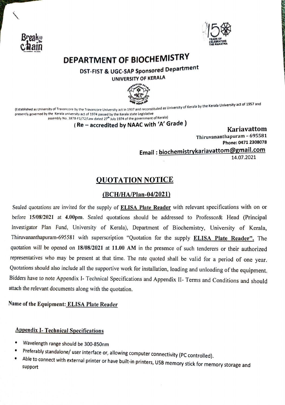



# DEPARTMENT OF BIOCHEMISTRY

## DST-FIST & UGC-SAP Sponsored Department UNIVERSITY OF KERALA



established as University of Travancore by the Travancore University act in 1937 and reconstituted as University of Kerala by the Kerala University act of 1957 and reconstituted as University of Kerala by the Kerala Univer presently governed by the Kerala university act of 1974 passed by the Kerala state Legislative assembly No. 3878-F1/72/Law dated 27<sup>th</sup> July 1974 of the government of Kerala)

(Re-accredited by NAAC with 'A' Grade )

Kariavattom Thiruvananthapuram - 695581 Phone: 0471 2308078

Email: biochemistrykariavattom@gmail.com

14.07.2021

## QUOTATION NOTICE

### (BCH/HA/Plan-04/2021)

Sealed quotations are invited for the supply of ELISA Plate Reader with relevant specifications with on or before 15/08/2021 at 4.00pm. Sealed quotations should be addressed to Professor& Head (Principal Investigator Plan Fund, University of Kerala), Department of Biochemistry, University of Kerala, Thiruvananthapuram-695581 with superscription "Quotation for the supply ELISA Plate Reader". The quotation will be opened on 18/08/2021 at 11.00 AM in the presence of such tenderers or their authorized representatives who may be present at that time. The rate quoted shall be valid for a period of one year. Quotations should also include all the supportive work for installation, loading and unloading of the equipment. Bidders have to note Appendix I- Technical Specifications and Appendix II- Terms and Conditions and should attach the relevant documents along with the quotation.

#### Name of the Equipment: ELISA Plate Reader

#### Appendix L- Technical Specifications

- 
- Wavelength range should be 300-850nm<br>Preferably standalone/ user interface or, allowing computer connectivity (PC controlled).
- Able to connect with external printer or have built-in printers, USB memory stick for memory storage and